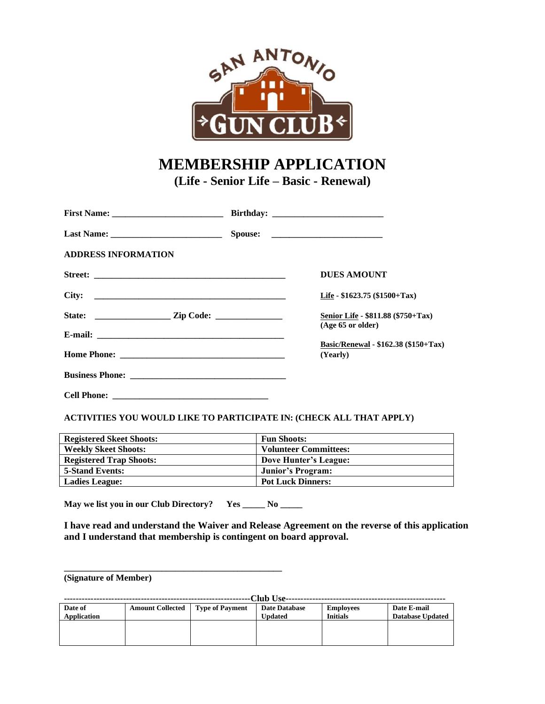

# **MEMBERSHIP APPLICATION (Life - Senior Life – Basic - Renewal)**

| <b>ADDRESS INFORMATION</b> |                                                           |
|----------------------------|-----------------------------------------------------------|
|                            | <b>DUES AMOUNT</b>                                        |
| City:                      | Life - $$1623.75$ (\$1500+Tax)                            |
|                            | Senior Life - \$811.88 (\$750+Tax)<br>$(Age 65$ or older) |
|                            |                                                           |
|                            | <b>Basic/Renewal - \$162.38 (\$150+Tax)</b><br>(Yearly)   |
|                            |                                                           |
|                            |                                                           |

#### **ACTIVITIES YOU WOULD LIKE TO PARTICIPATE IN: (CHECK ALL THAT APPLY)**

| <b>Registered Skeet Shoots:</b> | <b>Fun Shoots:</b>           |
|---------------------------------|------------------------------|
| <b>Weekly Skeet Shoots:</b>     | <b>Volunteer Committees:</b> |
| <b>Registered Trap Shoots:</b>  | Dove Hunter's League:        |
| <b>5-Stand Events:</b>          | Junior's Program:            |
| <b>Ladies League:</b>           | <b>Pot Luck Dinners:</b>     |

**May we list you in our Club Directory? Yes \_\_\_\_\_ No \_\_\_\_\_**

**\_\_\_\_\_\_\_\_\_\_\_\_\_\_\_\_\_\_\_\_\_\_\_\_\_\_\_\_\_\_\_\_\_\_\_\_\_\_\_\_\_\_\_\_\_\_\_\_\_**

**I have read and understand the Waiver and Release Agreement on the reverse of this application and I understand that membership is contingent on board approval.**

**(Signature of Member)**

| -Club Use-  |                         |                 |                      |                  |                         |  |  |
|-------------|-------------------------|-----------------|----------------------|------------------|-------------------------|--|--|
| Date of     | <b>Amount Collected</b> | Type of Payment | <b>Date Database</b> | <b>Employees</b> | Date E-mail             |  |  |
| Application |                         |                 | <b>Updated</b>       | <b>Initials</b>  | <b>Database Updated</b> |  |  |
|             |                         |                 |                      |                  |                         |  |  |
|             |                         |                 |                      |                  |                         |  |  |
|             |                         |                 |                      |                  |                         |  |  |